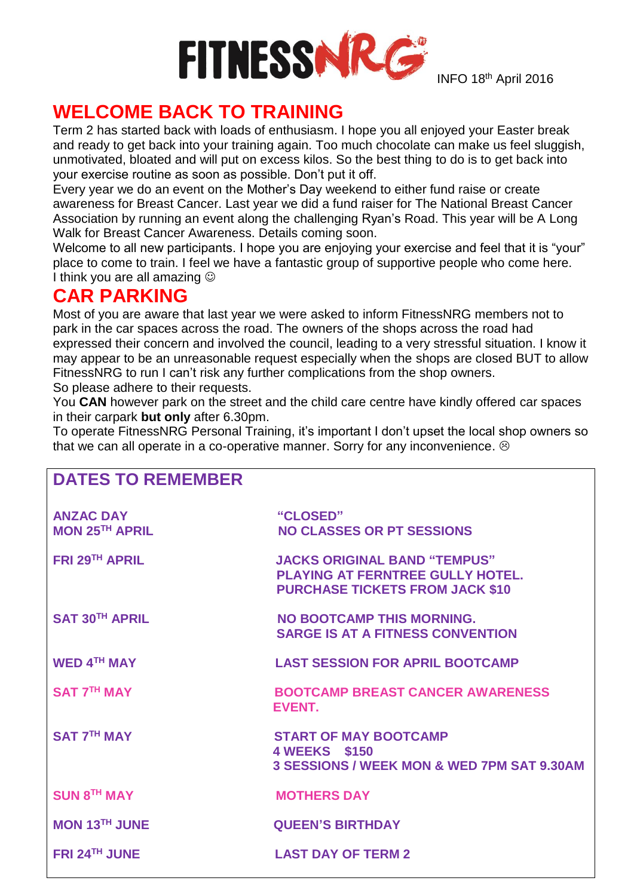

INFO 18<sup>th</sup> April 2016

## **WELCOME BACK TO TRAINING**

Term 2 has started back with loads of enthusiasm. I hope you all enjoyed your Easter break and ready to get back into your training again. Too much chocolate can make us feel sluggish, unmotivated, bloated and will put on excess kilos. So the best thing to do is to get back into your exercise routine as soon as possible. Don't put it off.

Every year we do an event on the Mother's Day weekend to either fund raise or create awareness for Breast Cancer. Last year we did a fund raiser for The National Breast Cancer Association by running an event along the challenging Ryan's Road. This year will be A Long Walk for Breast Cancer Awareness. Details coming soon.

Welcome to all new participants. I hope you are enjoying your exercise and feel that it is "your" place to come to train. I feel we have a fantastic group of supportive people who come here. I think you are all amazing  $\odot$ 

### **CAR PARKING**

Most of you are aware that last year we were asked to inform FitnessNRG members not to park in the car spaces across the road. The owners of the shops across the road had expressed their concern and involved the council, leading to a very stressful situation. I know it may appear to be an unreasonable request especially when the shops are closed BUT to allow FitnessNRG to run I can't risk any further complications from the shop owners. So please adhere to their requests.

You **CAN** however park on the street and the child care centre have kindly offered car spaces in their carpark **but only** after 6.30pm.

To operate FitnessNRG Personal Training, it's important I don't upset the local shop owners so that we can all operate in a co-operative manner. Sorry for any inconvenience.  $\odot$ 

| <b>DATES TO REMEMBER</b>                  |                                                                                                                   |
|-------------------------------------------|-------------------------------------------------------------------------------------------------------------------|
| <b>ANZAC DAY</b><br><b>MON 25TH APRIL</b> | "CLOSED"<br><b>NO CLASSES OR PT SESSIONS</b>                                                                      |
| <b>FRI 29TH APRIL</b>                     | <b>JACKS ORIGINAL BAND "TEMPUS"</b><br>PLAYING AT FERNTREE GULLY HOTEL.<br><b>PURCHASE TICKETS FROM JACK \$10</b> |
| <b>SAT 30TH APRIL</b>                     | NO BOOTCAMP THIS MORNING.<br><b>SARGE IS AT A FITNESS CONVENTION</b>                                              |
| <b>WED 4TH MAY</b>                        | <b>LAST SESSION FOR APRIL BOOTCAMP</b>                                                                            |
| <b>SAT 7TH MAY</b>                        | <b>BOOTCAMP BREAST CANCER AWARENESS</b><br><b>EVENT.</b>                                                          |
| <b>SAT 7TH MAY</b>                        | <b>START OF MAY BOOTCAMP</b><br>4 WEEKS \$150<br><b>3 SESSIONS / WEEK MON &amp; WED 7PM SAT 9.30AM</b>            |
| <b>SUN 8TH MAY</b>                        | <b>MOTHERS DAY</b>                                                                                                |
| <b>MON 13TH JUNE</b>                      | <b>QUEEN'S BIRTHDAY</b>                                                                                           |
| <b>FRI 24TH JUNE</b>                      | <b>LAST DAY OF TERM 2</b>                                                                                         |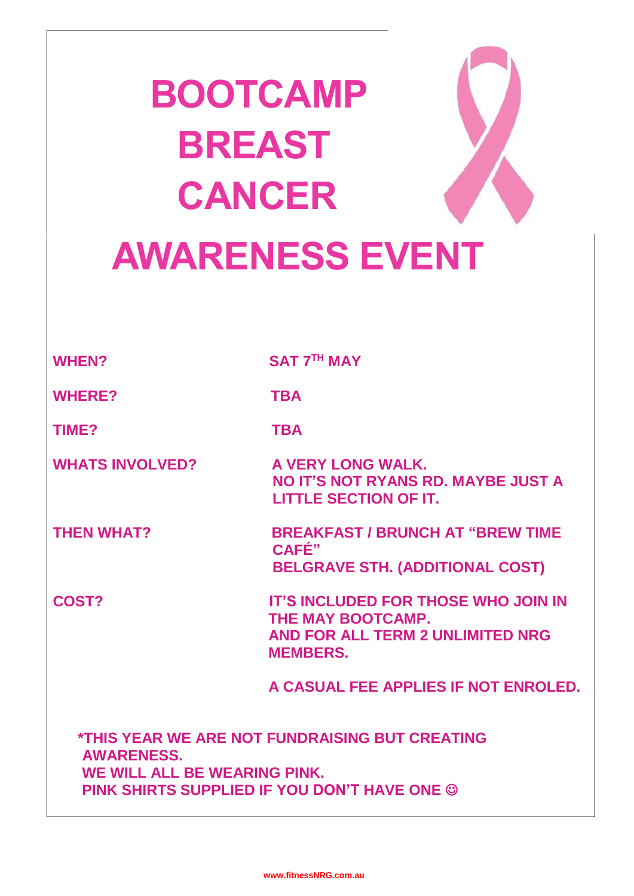| <b>BOOTCAMP</b>        |  |
|------------------------|--|
| <b>BREAST</b>          |  |
| <b>CANCER</b>          |  |
| <b>AWARENESS EVENT</b> |  |

**WHEN? SAT 7TH MAY**

WHERE? TBA

**TIME? TBA**

WHATS INVOLVED? A VERY LONG WALK.

 **NO IT'S NOT RYANS RD. MAYBE JUST A LITTLE SECTION OF IT.** 

**THEN WHAT? BREAKFAST / BRUNCH AT "BREW TIME CAFÉ" BELGRAVE STH. (ADDITIONAL COST)**

**COST? IT'S INCLUDED FOR THOSE WHO JOIN IN THE MAY BOOTCAMP. AND FOR ALL TERM 2 UNLIMITED NRG MEMBERS.** 

 **A CASUAL FEE APPLIES IF NOT ENROLED.**

 **\*THIS YEAR WE ARE NOT FUNDRAISING BUT CREATING AWARENESS. WE WILL ALL BE WEARING PINK. PINK SHIRTS SUPPLIED IF YOU DON'T HAVE ONE**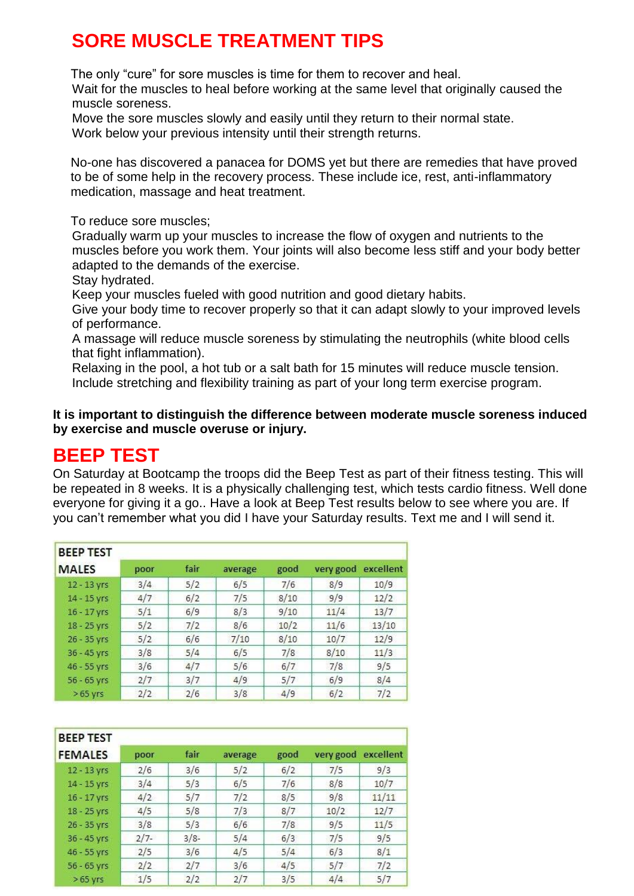# **SORE MUSCLE TREATMENT TIPS**

The only "cure" for sore muscles is time for them to recover and heal.

Wait for the muscles to heal before working at the same level that originally caused the muscle soreness.

Move the sore muscles slowly and easily until they return to their normal state. Work below your previous intensity until their strength returns.

 No-one has discovered a panacea for DOMS yet but there are remedies that have proved to be of some help in the recovery process. These include ice, rest, anti-inflammatory medication, [massage](http://stretchcoach.com/articles/sports-massage/) and heat treatment.

To reduce sore muscles;

Gradually warm up your muscles to increase the flow of oxygen and nutrients to the muscles before you work them. Your joints will also become less stiff and your body better adapted to the demands of the exercise.

Stay hydrated.

Keep your muscles fueled with good nutrition and good dietary habits.

Give your body time to recover properly so that it can adapt slowly to your improved levels of performance.

A massage will reduce muscle soreness by stimulating the neutrophils (white blood cells that fight inflammation).

Relaxing in the pool, a hot tub or a salt bath for 15 minutes will reduce muscle tension. Include stretching and flexibility training as part of your long term exercise program.

**It is important to distinguish the difference between moderate muscle soreness induced by exercise and muscle overuse or injury.**

### **BEEP TEST**

On Saturday at Bootcamp the troops did the Beep Test as part of their fitness testing. This will be repeated in 8 weeks. It is a physically challenging test, which tests cardio fitness. Well done everyone for giving it a go.. Have a look at Beep Test results below to see where you are. If you can't remember what you did I have your Saturday results. Text me and I will send it.

| <b>BEEP TEST</b> |      |      |         |      |           |           |
|------------------|------|------|---------|------|-----------|-----------|
| <b>MALES</b>     | poor | fair | average | good | very good | excellent |
| 12 - 13 yrs      | 3/4  | 5/2  | 6/5     | 7/6  | 8/9       | 10/9      |
| 14 - 15 yrs      | 4/7  | 6/2  | 7/5     | 8/10 | 9/9       | 12/2      |
| $16 - 17$ yrs    | 5/1  | 6/9  | 8/3     | 9/10 | 11/4      | 13/7      |
| 18 - 25 yrs      | 5/2  | 7/2  | 8/6     | 10/2 | 11/6      | 13/10     |
| 26 - 35 yrs      | 5/2  | 6/6  | 7/10    | 8/10 | 10/7      | 12/9      |
| 36 - 45 yrs      | 3/8  | 5/4  | 6/5     | 7/8  | 8/10      | 11/3      |
| 46 - 55 yrs      | 3/6  | 4/7  | 5/6     | 6/7  | 7/8       | 9/5       |
| 56 - 65 yrs      | 2/7  | 3/7  | 4/9     | 5/7  | 6/9       | 8/4       |
| $>65$ yrs        | 2/2  | 2/6  | 3/8     | 4/9  | 6/2       | 7/2       |

| <b>BEEP TEST</b> |        |         |         |      |           |           |
|------------------|--------|---------|---------|------|-----------|-----------|
| <b>FEMALES</b>   | poor   | fair    | average | good | very good | excellent |
| 12 - 13 yrs      | 2/6    | 3/6     | 5/2     | 6/2  | 7/5       | 9/3       |
| $14 - 15$ yrs    | 3/4    | 5/3     | 6/5     | 7/6  | 8/8       | 10/7      |
| $16 - 17$ yrs    | 4/2    | 5/7     | 7/2     | 8/5  | 9/8       | 11/11     |
| 18 - 25 yrs      | 4/5    | 5/8     | 7/3     | 8/7  | 10/2      | 12/7      |
| 26 - 35 yrs      | 3/8    | 5/3     | 6/6     | 7/8  | 9/5       | 11/5      |
| 36 - 45 yrs      | $2/7-$ | $3/8 -$ | 5/4     | 6/3  | 7/5       | 9/5       |
| 46 - 55 yrs      | 2/5    | 3/6     | 4/5     | 5/4  | 6/3       | 8/1       |
| $56 - 65$ yrs    | 2/2    | 2/7     | 3/6     | 4/5  | 5/7       | 7/2       |
| $>65$ yrs        | 1/5    | 2/2     | 2/7     | 3/5  | 4/4       | 5/7       |